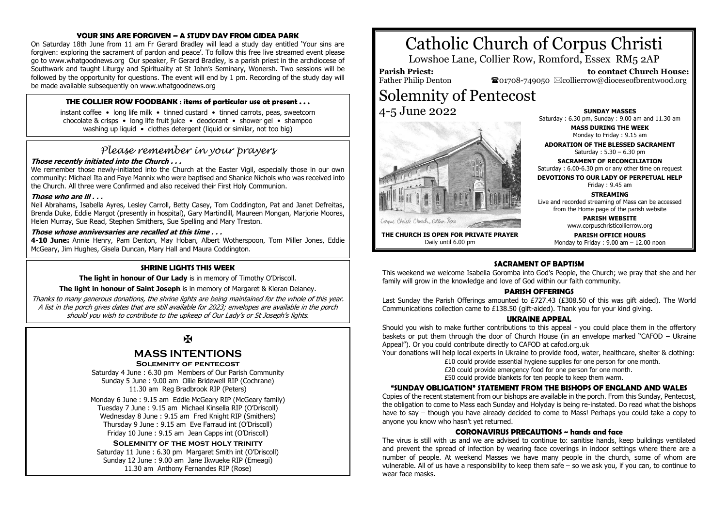#### **YOUR SINS ARE FORGIVEN – A STUDY DAY FROM GIDEA PARK**

On Saturday 18th June from 11 am Fr Gerard Bradley will lead a study day entitled 'Your sins are forgiven: exploring the sacrament of pardon and peace'. To follow this free live streamed event please go to www.whatgoodnews.org Our speaker, Fr Gerard Bradley, is a parish priest in the archdiocese of Southwark and taught Liturgy and Spirituality at St John's Seminary, Wonersh. Two sessions will be followed by the opportunity for questions. The event will end by 1 pm. Recording of the study day will be made available subsequently on www.whatgoodnews.org

#### **THE COLLIER ROW FOODBANK : items of particular use at present . . .**

instant coffee • long life milk • tinned custard • tinned carrots, peas, sweetcorn chocolate & crisps • long life fruit juice • deodorant • shower gel • shampoo washing up liquid • clothes detergent (liquid or similar, not too big)

### *Please remember in your prayers*

#### **Those recently initiated into the Church . . .**

We remember those newly-initiated into the Church at the Easter Vigil, especially those in our own community: Michael Ita and Faye Mannix who were baptised and Shanice Nichols who was received into the Church. All three were Confirmed and also received their First Holy Communion.

#### **Those who are ill . . .**

Neil Abrahams, Isabella Ayres, Lesley Carroll, Betty Casey, Tom Coddington, Pat and Janet Defreitas, Brenda Duke, Eddie Margot (presently in hospital), Gary Martindill, Maureen Mongan, Marjorie Moores, Helen Murray, Sue Read, Stephen Smithers, Sue Spelling and Mary Treston.

#### **Those whose anniversaries are recalled at this time . . .**

**4-10 June:** Annie Henry, Pam Denton, May Hoban, Albert Wotherspoon, Tom Miller Jones, Eddie McGeary, Jim Hughes, Gisela Duncan, Mary Hall and Maura Coddington.

#### **SHRINE LIGHTS THIS WEEK**

**The light in honour of Our Lady** is in memory of Timothy O'Driscoll.

**The light in honour of Saint Joseph** is in memory of Margaret & Kieran Delaney.

Thanks to many generous donations, the shrine lights are being maintained for the whole of this year. A list in the porch gives dates that are still available for 2023; envelopes are available in the porch should you wish to contribute to the upkeep of Our Lady's or St Joseph's lights.

Ж

## **MASS INTENTIONS**

#### **Solemnity of pentecost**

Saturday 4 June : 6.30 pm Members of Our Parish Community Sunday 5 June : 9.00 am Ollie Bridewell RIP (Cochrane) 11.30 am Reg Bradbrook RIP (Peters)

Monday 6 June : 9.15 am Eddie McGeary RIP (McGeary family) Tuesday 7 June : 9.15 am Michael Kinsella RIP (O'Driscoll) Wednesday 8 June : 9.15 am Fred Knight RIP (Smithers) Thursday 9 June : 9.15 am Eve Farraud int (O'Driscoll) Friday 10 June : 9.15 am Jean Capps int (O'Driscoll)

#### **Solemnity of the most holy trinity**

Saturday 11 June : 6.30 pm Margaret Smith int (O'Driscoll) Sunday 12 June : 9.00 am Jane Ikwueke RIP (Emeagi) 11.30 am Anthony Fernandes RIP (Rose)

# Catholic Church of Corpus Christi

Lowshoe Lane, Collier Row, Romford, Essex RM5 2AP

**Parish Priest:** Father Philip Denton

 **to contact Church House:**  $\bullet$ 01708-749050  $\boxtimes$ collierrow@dioceseofbrentwood.org

# Solemnity of Pentecost

4-5 June 2022



Daily until 6.00 pm

**SUNDAY MASSES** Saturday : 6.30 pm, Sunday : 9.00 am and 11.30 am

> **MASS DURING THE WEEK** Monday to Friday : 9.15 am

**ADORATION OF THE BLESSED SACRAMENT** Saturday : 5.30 – 6.30 pm

**SACRAMENT OF RECONCILIATION** Saturday : 6.00-6.30 pm or any other time on request

**DEVOTIONS TO OUR LADY OF PERPETUAL HELP**

Friday : 9.45 am

#### **STREAMING**

Live and recorded streaming of Mass can be accessed from the Home page of the parish website

> **PARISH WEBSITE** www.corpuschristicollierrow.org

**PARISH OFFICE HOURS**

**THE CHURCH IS OPEN FOR PRIVATE PRAYER** Monday to Friday : 9.00 am – 12.00 noon

#### **SACRAMENT OF BADTISM**

This weekend we welcome Isabella Goromba into God's People, the Church; we pray that she and her family will grow in the knowledge and love of God within our faith community.

#### **PARISH OFFERINGS**

Last Sunday the Parish Offerings amounted to £727.43 (£308.50 of this was gift aided). The World Communications collection came to £138.50 (gift-aided). Thank you for your kind giving.

#### **UKRAINE APPEAL**

Should you wish to make further contributions to this appeal - you could place them in the offertory baskets or put them through the door of Church House (in an envelope marked "CAFOD – Ukraine Appeal"). Or you could contribute directly to CAFOD at cafod.org.uk

Your donations will help local experts in Ukraine to provide food, water, healthcare, shelter & clothing:

£10 could provide essential hygiene supplies for one person for one month. £20 could provide emergency food for one person for one month. £50 could provide blankets for ten people to keep them warm.

#### **"SUNDAY OBLIGATION" STATEMENT FROM THE BISHOPS OF ENGLAND AND WALES**

Copies of the recent statement from our bishops are available in the porch. From this Sunday, Pentecost, the obligation to come to Mass each Sunday and Holyday is being re-instated. Do read what the bishops have to say – though you have already decided to come to Mass! Perhaps you could take a copy to anyone you know who hasn't yet returned.

#### **CORONAVIRUS PRECAUTIONS ~ hands and face**

The virus is still with us and we are advised to continue to: sanitise hands, keep buildings ventilated and prevent the spread of infection by wearing face coverings in indoor settings where there are a number of people. At weekend Masses we have many people in the church, some of whom are vulnerable. All of us have a responsibility to keep them safe – so we ask you, if you can, to continue to wear face masks.